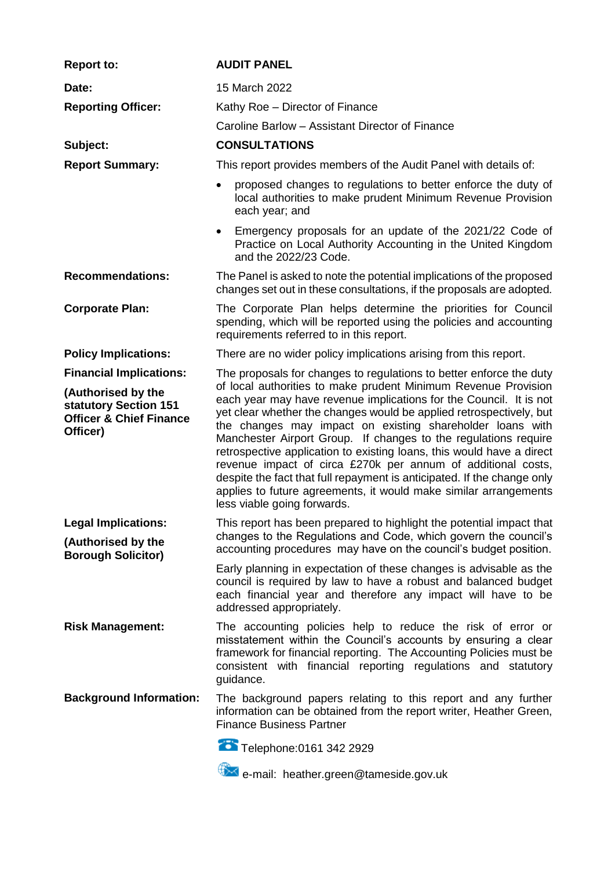| <b>Report to:</b>                                                                                                               | <b>AUDIT PANEL</b>                                                                                                                                                                                                                                                                                                                                                                                                                                                                                                                                                                                                                                                                                                                        |
|---------------------------------------------------------------------------------------------------------------------------------|-------------------------------------------------------------------------------------------------------------------------------------------------------------------------------------------------------------------------------------------------------------------------------------------------------------------------------------------------------------------------------------------------------------------------------------------------------------------------------------------------------------------------------------------------------------------------------------------------------------------------------------------------------------------------------------------------------------------------------------------|
| Date:                                                                                                                           | 15 March 2022                                                                                                                                                                                                                                                                                                                                                                                                                                                                                                                                                                                                                                                                                                                             |
| <b>Reporting Officer:</b>                                                                                                       | Kathy Roe - Director of Finance                                                                                                                                                                                                                                                                                                                                                                                                                                                                                                                                                                                                                                                                                                           |
|                                                                                                                                 | Caroline Barlow - Assistant Director of Finance                                                                                                                                                                                                                                                                                                                                                                                                                                                                                                                                                                                                                                                                                           |
| Subject:                                                                                                                        | <b>CONSULTATIONS</b>                                                                                                                                                                                                                                                                                                                                                                                                                                                                                                                                                                                                                                                                                                                      |
| <b>Report Summary:</b>                                                                                                          | This report provides members of the Audit Panel with details of:                                                                                                                                                                                                                                                                                                                                                                                                                                                                                                                                                                                                                                                                          |
|                                                                                                                                 | proposed changes to regulations to better enforce the duty of<br>$\bullet$<br>local authorities to make prudent Minimum Revenue Provision<br>each year; and                                                                                                                                                                                                                                                                                                                                                                                                                                                                                                                                                                               |
|                                                                                                                                 | Emergency proposals for an update of the 2021/22 Code of<br>$\bullet$<br>Practice on Local Authority Accounting in the United Kingdom<br>and the 2022/23 Code.                                                                                                                                                                                                                                                                                                                                                                                                                                                                                                                                                                            |
| <b>Recommendations:</b>                                                                                                         | The Panel is asked to note the potential implications of the proposed<br>changes set out in these consultations, if the proposals are adopted.                                                                                                                                                                                                                                                                                                                                                                                                                                                                                                                                                                                            |
| <b>Corporate Plan:</b>                                                                                                          | The Corporate Plan helps determine the priorities for Council<br>spending, which will be reported using the policies and accounting<br>requirements referred to in this report.                                                                                                                                                                                                                                                                                                                                                                                                                                                                                                                                                           |
| <b>Policy Implications:</b>                                                                                                     | There are no wider policy implications arising from this report.                                                                                                                                                                                                                                                                                                                                                                                                                                                                                                                                                                                                                                                                          |
| <b>Financial Implications:</b><br>(Authorised by the<br>statutory Section 151<br><b>Officer &amp; Chief Finance</b><br>Officer) | The proposals for changes to regulations to better enforce the duty<br>of local authorities to make prudent Minimum Revenue Provision<br>each year may have revenue implications for the Council. It is not<br>yet clear whether the changes would be applied retrospectively, but<br>the changes may impact on existing shareholder loans with<br>Manchester Airport Group. If changes to the regulations require<br>retrospective application to existing loans, this would have a direct<br>revenue impact of circa £270k per annum of additional costs,<br>despite the fact that full repayment is anticipated. If the change only<br>applies to future agreements, it would make similar arrangements<br>less viable going forwards. |
| <b>Legal Implications:</b><br>(Authorised by the<br><b>Borough Solicitor)</b>                                                   | This report has been prepared to highlight the potential impact that<br>changes to the Regulations and Code, which govern the council's<br>accounting procedures may have on the council's budget position.                                                                                                                                                                                                                                                                                                                                                                                                                                                                                                                               |
|                                                                                                                                 | Early planning in expectation of these changes is advisable as the<br>council is required by law to have a robust and balanced budget<br>each financial year and therefore any impact will have to be<br>addressed appropriately.                                                                                                                                                                                                                                                                                                                                                                                                                                                                                                         |
| <b>Risk Management:</b>                                                                                                         | The accounting policies help to reduce the risk of error or<br>misstatement within the Council's accounts by ensuring a clear<br>framework for financial reporting. The Accounting Policies must be<br>consistent with financial reporting regulations and statutory<br>guidance.                                                                                                                                                                                                                                                                                                                                                                                                                                                         |
| <b>Background Information:</b>                                                                                                  | The background papers relating to this report and any further<br>information can be obtained from the report writer, Heather Green,<br><b>Finance Business Partner</b>                                                                                                                                                                                                                                                                                                                                                                                                                                                                                                                                                                    |
|                                                                                                                                 | Telephone: 0161 342 2929                                                                                                                                                                                                                                                                                                                                                                                                                                                                                                                                                                                                                                                                                                                  |
|                                                                                                                                 | e-mail: heather.green@tameside.gov.uk                                                                                                                                                                                                                                                                                                                                                                                                                                                                                                                                                                                                                                                                                                     |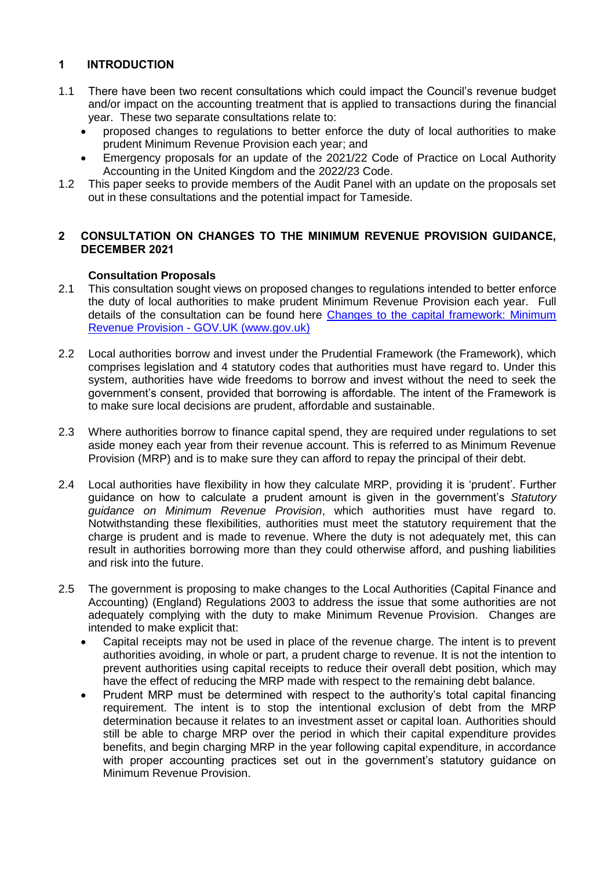# **1 INTRODUCTION**

- 1.1 There have been two recent consultations which could impact the Council's revenue budget and/or impact on the accounting treatment that is applied to transactions during the financial year. These two separate consultations relate to:
	- proposed changes to regulations to better enforce the duty of local authorities to make prudent Minimum Revenue Provision each year; and
	- Emergency proposals for an update of the 2021/22 Code of Practice on Local Authority Accounting in the United Kingdom and the 2022/23 Code.
- 1.2 This paper seeks to provide members of the Audit Panel with an update on the proposals set out in these consultations and the potential impact for Tameside.

## **2 CONSULTATION ON CHANGES TO THE MINIMUM REVENUE PROVISION GUIDANCE, DECEMBER 2021**

## **Consultation Proposals**

- 2.1 This consultation sought views on proposed changes to regulations intended to better enforce the duty of local authorities to make prudent Minimum Revenue Provision each year. Full details of the consultation can be found here [Changes to the capital framework: Minimum](https://www.gov.uk/government/consultations/changes-to-the-capital-framework-minimum-revenue-provision)  Revenue Provision - [GOV.UK \(www.gov.uk\)](https://www.gov.uk/government/consultations/changes-to-the-capital-framework-minimum-revenue-provision)
- 2.2 Local authorities borrow and invest under the Prudential Framework (the Framework), which comprises legislation and 4 statutory codes that authorities must have regard to. Under this system, authorities have wide freedoms to borrow and invest without the need to seek the government's consent, provided that borrowing is affordable. The intent of the Framework is to make sure local decisions are prudent, affordable and sustainable.
- 2.3 Where authorities borrow to finance capital spend, they are required under regulations to set aside money each year from their revenue account. This is referred to as Minimum Revenue Provision (MRP) and is to make sure they can afford to repay the principal of their debt.
- 2.4 Local authorities have flexibility in how they calculate MRP, providing it is 'prudent'. Further guidance on how to calculate a prudent amount is given in the government's *Statutory guidance on Minimum Revenue Provision*, which authorities must have regard to. Notwithstanding these flexibilities, authorities must meet the statutory requirement that the charge is prudent and is made to revenue. Where the duty is not adequately met, this can result in authorities borrowing more than they could otherwise afford, and pushing liabilities and risk into the future.
- 2.5 The government is proposing to make changes to the Local Authorities (Capital Finance and Accounting) (England) Regulations 2003 to address the issue that some authorities are not adequately complying with the duty to make Minimum Revenue Provision. Changes are intended to make explicit that:
	- Capital receipts may not be used in place of the revenue charge. The intent is to prevent authorities avoiding, in whole or part, a prudent charge to revenue. It is not the intention to prevent authorities using capital receipts to reduce their overall debt position, which may have the effect of reducing the MRP made with respect to the remaining debt balance.
	- Prudent MRP must be determined with respect to the authority's total capital financing requirement. The intent is to stop the intentional exclusion of debt from the MRP determination because it relates to an investment asset or capital loan. Authorities should still be able to charge MRP over the period in which their capital expenditure provides benefits, and begin charging MRP in the year following capital expenditure, in accordance with proper accounting practices set out in the government's statutory guidance on Minimum Revenue Provision.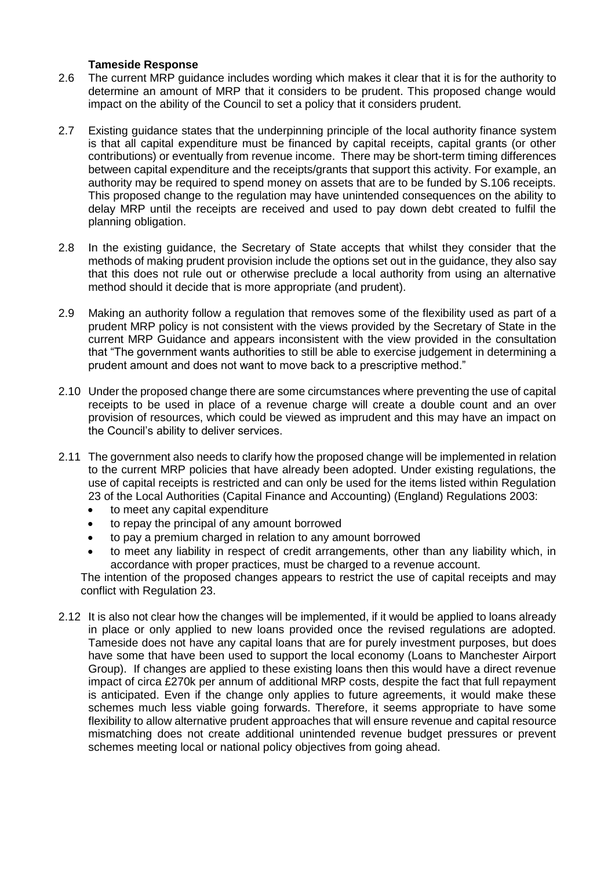#### **Tameside Response**

- 2.6 The current MRP guidance includes wording which makes it clear that it is for the authority to determine an amount of MRP that it considers to be prudent. This proposed change would impact on the ability of the Council to set a policy that it considers prudent.
- 2.7 Existing guidance states that the underpinning principle of the local authority finance system is that all capital expenditure must be financed by capital receipts, capital grants (or other contributions) or eventually from revenue income. There may be short-term timing differences between capital expenditure and the receipts/grants that support this activity. For example, an authority may be required to spend money on assets that are to be funded by S.106 receipts. This proposed change to the regulation may have unintended consequences on the ability to delay MRP until the receipts are received and used to pay down debt created to fulfil the planning obligation.
- 2.8 In the existing guidance, the Secretary of State accepts that whilst they consider that the methods of making prudent provision include the options set out in the guidance, they also say that this does not rule out or otherwise preclude a local authority from using an alternative method should it decide that is more appropriate (and prudent).
- 2.9 Making an authority follow a regulation that removes some of the flexibility used as part of a prudent MRP policy is not consistent with the views provided by the Secretary of State in the current MRP Guidance and appears inconsistent with the view provided in the consultation that "The government wants authorities to still be able to exercise judgement in determining a prudent amount and does not want to move back to a prescriptive method."
- 2.10 Under the proposed change there are some circumstances where preventing the use of capital receipts to be used in place of a revenue charge will create a double count and an over provision of resources, which could be viewed as imprudent and this may have an impact on the Council's ability to deliver services.
- 2.11 The government also needs to clarify how the proposed change will be implemented in relation to the current MRP policies that have already been adopted. Under existing regulations, the use of capital receipts is restricted and can only be used for the items listed within Regulation 23 of the Local Authorities (Capital Finance and Accounting) (England) Regulations 2003:
	- to meet any capital expenditure
	- to repay the principal of any amount borrowed
	- to pay a premium charged in relation to any amount borrowed
	- to meet any liability in respect of credit arrangements, other than any liability which, in accordance with proper practices, must be charged to a revenue account.

The intention of the proposed changes appears to restrict the use of capital receipts and may conflict with Regulation 23.

2.12 It is also not clear how the changes will be implemented, if it would be applied to loans already in place or only applied to new loans provided once the revised regulations are adopted. Tameside does not have any capital loans that are for purely investment purposes, but does have some that have been used to support the local economy (Loans to Manchester Airport Group). If changes are applied to these existing loans then this would have a direct revenue impact of circa £270k per annum of additional MRP costs, despite the fact that full repayment is anticipated. Even if the change only applies to future agreements, it would make these schemes much less viable going forwards. Therefore, it seems appropriate to have some flexibility to allow alternative prudent approaches that will ensure revenue and capital resource mismatching does not create additional unintended revenue budget pressures or prevent schemes meeting local or national policy objectives from going ahead.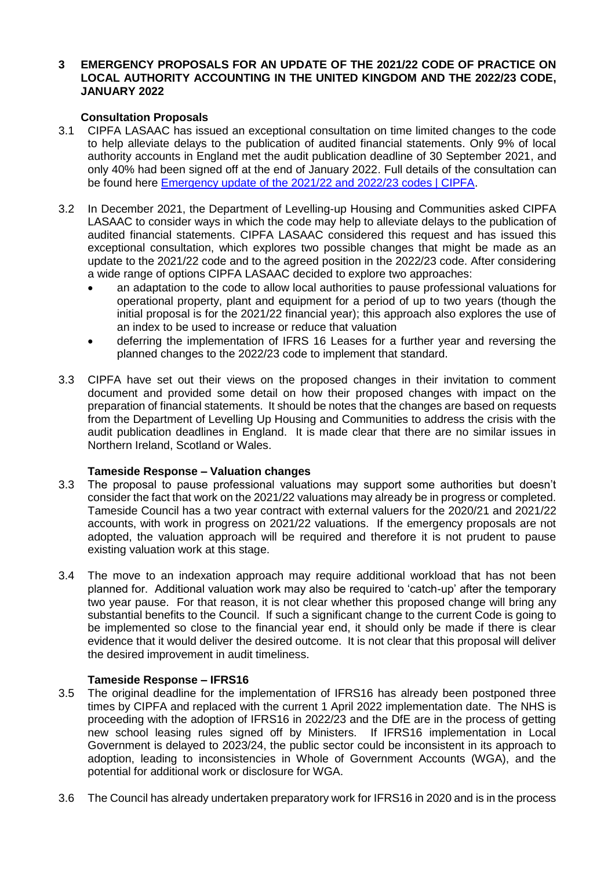#### **3 EMERGENCY PROPOSALS FOR AN UPDATE OF THE 2021/22 CODE OF PRACTICE ON LOCAL AUTHORITY ACCOUNTING IN THE UNITED KINGDOM AND THE 2022/23 CODE, JANUARY 2022**

## **Consultation Proposals**

- 3.1 CIPFA LASAAC has issued an exceptional consultation on time limited changes to the code to help alleviate delays to the publication of audited financial statements. Only 9% of local authority accounts in England met the audit publication deadline of 30 September 2021, and only 40% had been signed off at the end of January 2022. Full details of the consultation can be found here [Emergency update of the 2021/22 and 2022/23 codes | CIPFA.](https://www.cipfa.org/policy-and-guidance/consultations/emergency-proposals-for-update-of-202122-and-2022223-codes)
- 3.2 In December 2021, the Department of Levelling-up Housing and Communities asked CIPFA LASAAC to consider ways in which the code may help to alleviate delays to the publication of audited financial statements. CIPFA LASAAC considered this request and has issued this exceptional consultation, which explores two possible changes that might be made as an update to the 2021/22 code and to the agreed position in the 2022/23 code. After considering a wide range of options CIPFA LASAAC decided to explore two approaches:
	- an adaptation to the code to allow local authorities to pause professional valuations for operational property, plant and equipment for a period of up to two years (though the initial proposal is for the 2021/22 financial year); this approach also explores the use of an index to be used to increase or reduce that valuation
	- deferring the implementation of IFRS 16 Leases for a further year and reversing the planned changes to the 2022/23 code to implement that standard.
- 3.3 CIPFA have set out their views on the proposed changes in their invitation to comment document and provided some detail on how their proposed changes with impact on the preparation of financial statements. It should be notes that the changes are based on requests from the Department of Levelling Up Housing and Communities to address the crisis with the audit publication deadlines in England. It is made clear that there are no similar issues in Northern Ireland, Scotland or Wales.

### **Tameside Response – Valuation changes**

- 3.3 The proposal to pause professional valuations may support some authorities but doesn't consider the fact that work on the 2021/22 valuations may already be in progress or completed. Tameside Council has a two year contract with external valuers for the 2020/21 and 2021/22 accounts, with work in progress on 2021/22 valuations. If the emergency proposals are not adopted, the valuation approach will be required and therefore it is not prudent to pause existing valuation work at this stage.
- 3.4 The move to an indexation approach may require additional workload that has not been planned for. Additional valuation work may also be required to 'catch-up' after the temporary two year pause. For that reason, it is not clear whether this proposed change will bring any substantial benefits to the Council. If such a significant change to the current Code is going to be implemented so close to the financial year end, it should only be made if there is clear evidence that it would deliver the desired outcome. It is not clear that this proposal will deliver the desired improvement in audit timeliness.

### **Tameside Response – IFRS16**

- 3.5 The original deadline for the implementation of IFRS16 has already been postponed three times by CIPFA and replaced with the current 1 April 2022 implementation date. The NHS is proceeding with the adoption of IFRS16 in 2022/23 and the DfE are in the process of getting new school leasing rules signed off by Ministers. If IFRS16 implementation in Local Government is delayed to 2023/24, the public sector could be inconsistent in its approach to adoption, leading to inconsistencies in Whole of Government Accounts (WGA), and the potential for additional work or disclosure for WGA.
- 3.6 The Council has already undertaken preparatory work for IFRS16 in 2020 and is in the process